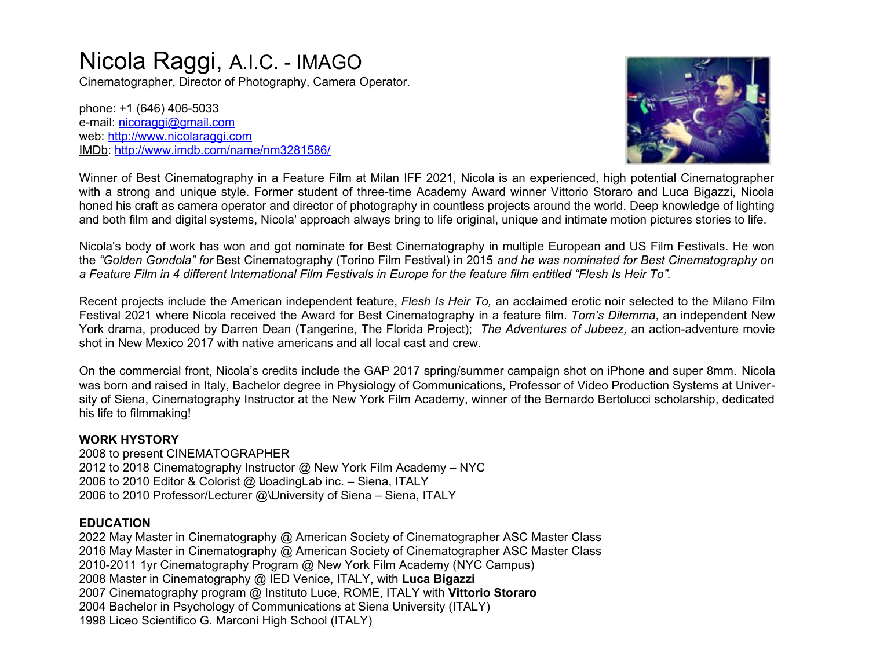# Nicola Raggi, A.I.C. - IMAGO

Cinematographer, Director of Photography, Camera Operator.

phone: +1 (646) 406-5033 e-mail: [nicoraggi@gmail.com](mailto:nicoraggi@gmail.com) web: [http://www.nicolaraggi.com](http://www.nicolaraggi.com/) [IMDb:](file:///Users/nio/Desktop/Nico%20RESUMES/IMDb%20page) <http://www.imdb.com/name/nm3281586/>



Winner of Best Cinematography in a Feature Film at Milan IFF 2021, Nicola is an experienced, high potential Cinematographer with a strong and unique style. Former student of three-time Academy Award winner Vittorio Storaro and Luca Bigazzi, Nicola honed his craft as camera operator and director of photography in countless projects around the world. Deep knowledge of lighting and both film and digital systems, Nicola' approach always bring to life original, unique and intimate motion pictures stories to life.

Nicola's body of work has won and got nominate for Best Cinematography in multiple European and US Film Festivals. He won the *"Golden Gondola" for* Best Cinematography (Torino Film Festival) in 2015 *and he was nominated for Best Cinematography on a Feature Film in 4 different International Film Festivals in Europe for the feature film entitled "Flesh Is Heir To".*

Recent projects include the American independent feature, *Flesh Is Heir To,* an acclaimed erotic noir selected to the Milano Film Festival 2021 where Nicola received the Award for Best Cinematography in a feature film. *Tom's Dilemma*, an independent New York drama, produced by Darren Dean (Tangerine, The Florida Project); *The Adventures of Jubeez,* an action-adventure movie shot in New Mexico 2017 with native americans and all local cast and crew.

On the commercial front, Nicola's credits include the GAP 2017 spring/summer campaign shot on iPhone and super 8mm. Nicola was born and raised in Italy, Bachelor degree in Physiology of Communications, Professor of Video Production Systems at University of Siena, Cinematography Instructor at the New York Film Academy, winner of the Bernardo Bertolucci scholarship, dedicated his life to filmmaking!

## **WORK HYSTORY**

2008 to present CINEMATOGRAPHER 2012 to 2018 Cinematography Instructor @ New York Film Academy – NYC 2006 to 2010 Editor & Colorist @ 
LoadingLab inc. – Siena, ITALY 2006 to 2010 Professor/Lecturer @\University of Siena - Siena, ITALY

## **EDUCATION**

2022 May Master in Cinematography @ American Society of Cinematographer ASC Master Class 2016 May Master in Cinematography @ American Society of Cinematographer ASC Master Class 2010-2011 1yr Cinematography Program @ New York Film Academy (NYC Campus) 2008 Master in Cinematography @ IED Venice, ITALY, with **Luca Bigazzi** 2007 Cinematography program @ Instituto Luce, ROME, ITALY with **Vittorio Storaro** 2004 Bachelor in Psychology of Communications at Siena University (ITALY) 1998 Liceo Scientifico G. Marconi High School (ITALY)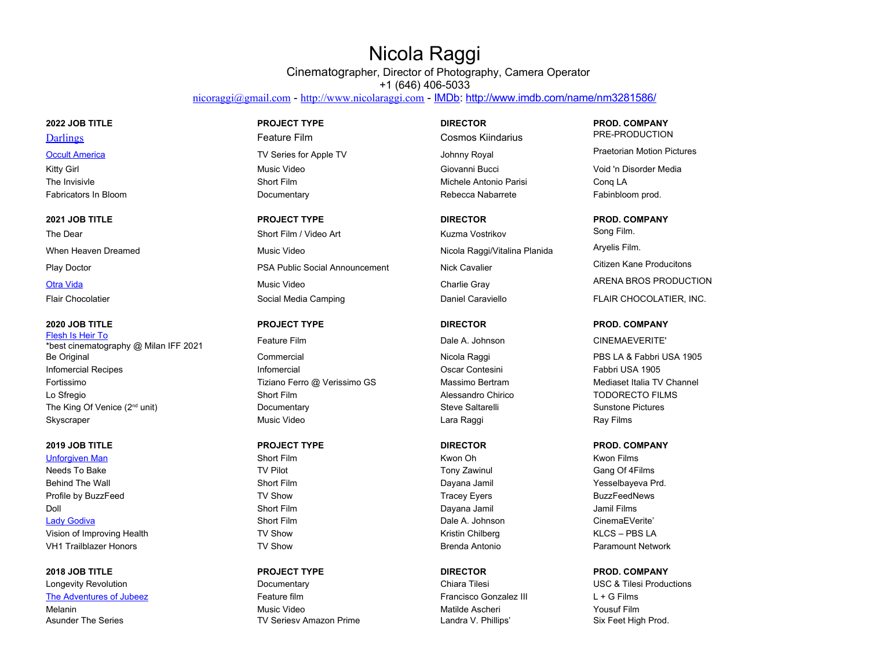## Nicola Raggi

Cinematographer, Director of Photography, Camera Operator +1 (646) 406-5033

[nicoraggi@gmail.com](mailto:nicoraggi@gmail.com) - [http://www.nicolaraggi.com](http://www.nicolaraggi.com/) - [IMDb:](file:///Users/nio/Desktop/Nico%20RESUMES/IMDb%20page) <http://www.imdb.com/name/nm3281586/>

[Flesh Is Heir To](https://www.imdb.com/title/tt9012672/reference) Test is the Frontier of the CINEMAEVERITE'<br>\*best cinematography @ Milan IFF 2021 Feature Film **Four CINEMAEVERITE'** Be Original **Example 2** Commercial Commercial Commercial Nicola Raggi PBS LA & Fabbri USA 1905 Infomercial Recipes Infomercial Oscar Contesini Fabbri USA 1905 Fortissimo **Tiziano Ferro @ Verissimo GS** Massimo Bertram Mediaset Italia TV Channel Lo Sfregio **Short Film** Short Film Alessandro Chirico **Short Election Short Film** Alessandro Chirico **TODORECTO FILMS** The King Of Venice (2<sup>nd</sup> unit) **Documentary** Documentary Steve Saltarelli Steve Saltarelli Sunstone Pictures Skyscraper Music Video Lara Raggi Ray Films

[Unforgiven Man](https://www.imdb.com/title/tt10936848/reference) Shot Film Short Film Number of Shot Films Shot Films Shot Films Shot Films Shot Runder Shot Bilms Needs To Bake TV Pilot Tony Zawinul Gang Of 4Films Behind The Wall Short Film Short Film Changes are behind The Wall Short Film Short Film Dayana Jamil Short Processelbayeva Prd. Profile by BuzzFeed **TRICE IN SHOW** TV Show Tracey Eyers Tracey Eyers BuzzFeedNews Doll Short Film Dayana Jamil Jamil Films [Lady Godiva](https://www.imdb.com/title/tt12590940/reference) CinemaEVerite' Short Film Short Film Short Film Dale A. Johnson CinemaEVerite' Vision of Improving Health TV Show TV Show TV Show Kristin Chilberg King Health KLCS – PBS LA VH1 Trailblazer Honors **National Structure Construction** TV Show Brenda Antonio **Paramount Network** Paramount Network

Longevity Revolution **Exercice 2 Chiara Chiara Tilesi** USC & Tilesi Productions Chiara Tilesi Productions Chiara Tilesi Productions [The Adventures of Jubeez](https://www.imdb.com/title/tt7533486/reference) **Feature film** Feature film Francisco Gonzalez III L + G Films Melanin Music Video **Music Video** Music Video Matilde Ascheri Matilde Ascheri Yousuf Film Asunder The Series **TRIP Series TRIP Seriesv Amazon Prime** Landra V. Phillips' Six Feet High Prod.

The Dear Short Film / Video Art Short Film / Video Art Kuzma Vostrikov Song Film. When Heaven Dreamed **Music Video** Music Video Nicola Raggi/Vitalina Planida Aryelis Film. Play Doctor **PSA Public Social Announcement** Nick Cavalier **Nick Cavalier** Post Producitons [Otra Vida](https://www.imdb.com/title/tt19728592/) **Music Video** Music Video Charlie Gray Charlie Gray ARENA BROS PRODUCTION Flair Chocolatier **Social Media Camping Caraviello** Daniel Caraviello **FLAIR CHOCOLATIER**, INC.

[Darlings](https://www.imdb.com/title/tt14905292/) **Feature Film Cosmos Kiindarius** PRE-PRODUCTION [Occult America](https://www.imdb.com/title/tt16227288/reference) **TV** Series for Apple TV Series for Apple TV Johnny Royal Praetorian Motion Pictures Kitty Girl Music Video Giovanni Bucci Citty Giovanni Bucci Void 'n Disorder Media The Invisivle **Short Film** Short Film Michele Antonio Parisi Conq LA Fabricators In Bloom **Example 20** Commentary **Commentary Rebecca Nabarrete** Fabinbloom prod.

## **2022 JOB TITLE PROJECT TYPE DIRECTOR PROD. COMPANY**

## **2021 JOB TITLE PROJECT TYPE DIRECTOR PROD. COMPANY**

## **2020 JOB TITLE PROJECT TYPE DIRECTOR PROD. COMPANY**

## **2019 JOB TITLE PROJECT TYPE DIRECTOR PROD. COMPANY**

## **2018 JOB TITLE PROJECT TYPE DIRECTOR PROD. COMPANY**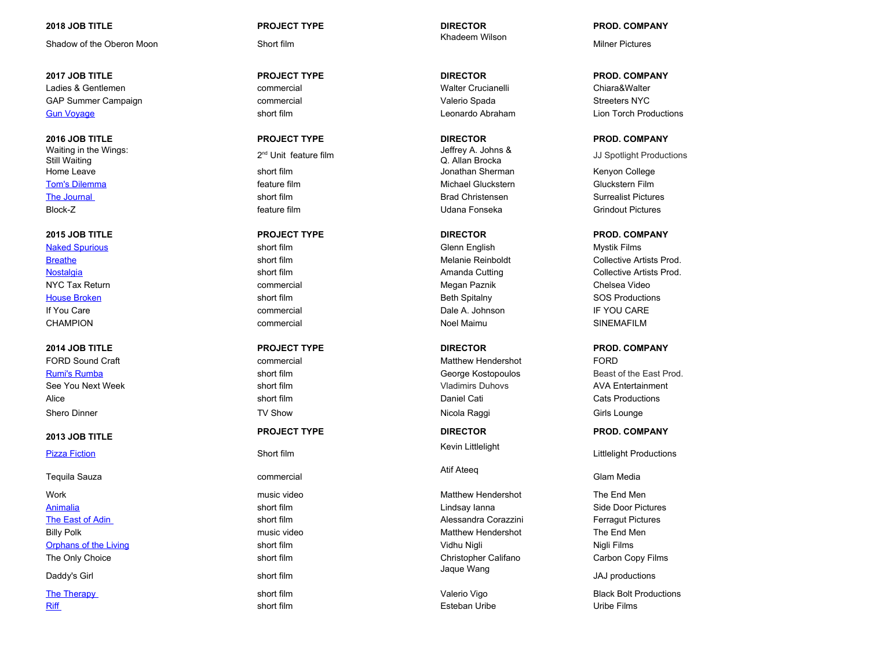Shadow of the Oberon Moon Short film

**2017 JOB TITLE PROJECT TYPE DIRECTOR PROD. COMPANY** Ladies & Gentlemen commercial Walter Crucianelli Chiara&Walter GAP Summer Campaign and Commercial Commercial Commercial Commercial Commercial Commercial Commercial Commercial Commercial Commercial Commercial Commercial Commercial Commercial Commercial Commercial Commercial Commercial [Gun Voyage](https://www.imdb.com/title/tt6408144/reference) Short film Short film Short film Leonardo Abraham Lion Torch Productions

**2016 JOB TITLE PROJECT TYPE DIRECTOR PROD. COMPANY** Waiting in the Wings: Still Waiting Home Leave **Short film Short film** Short film Short The Short Short Sherman Sherman Kenyon College

FORD Sound Craft **COMECAL COMPOSITION** Commercial COMECAL Matthew Hendershot FORD FORD

[Pizza Fiction](https://www.imdb.com/title/tt5210942/reference) **Short film** 

Tequila Sauza **commercial** 

[Animalia](https://www.imdb.com/title/tt3144078/reference) short film Lindsay Ianna Side Door Pictures [The East of Adin](https://www.imdb.com/title/tt3958196/reference) Short film Short film Short film Alessandra Corazzini Ferragut Pictures Billy Polk music video music video Matthew Hendershot The End Men [Orphans of the Living](https://www.imdb.com/title/tt4583354/reference) Short film Short film Short film Short film Short film Short film Short film Short films The Only Choice **Short film** Short film Short film Christopher Califano Carbon Copy Films Daddy's Girl short film

## **2018 JOB TITLE PROJECT TYPE DIRECTOR PROD. COMPANY**

Khadeem Wilson

2<sup>nd</sup> Unit feature film *Jeffrey A. Johns &*<br>
Q. Allan Brocka [Tom's Dilemma](https://www.imdb.com/title/tt3479072/reference) **the Cluckstern Film** feature film feature film Michael Gluckstern Film Gluckstern Film [The Journal](https://www.imdb.com/title/tt5769936/reference) Surrealist Pictures of the Surrealist Pictures short film short film Brad Christensen Surrealist Pictures Block-Z feature film Udana Fonseka Grindout Pictures

[Naked Spurious](https://www.imdb.com/title/tt4146840/reference) **Show State Search Scienn English Mystik Films** Short film Short films Short films Short films Short films Short films Short films Short films Short films Short films Short films Short films Short films Shor NYC Tax Return and the commercial commercial commercial commercial Megan Paznik Chelsea Video [House Broken](https://www.imdb.com/title/tt4706262/reference) shows that the short film short film short film short film short film short film short film short film If You Care **IF You Care commercial** Commercial Commercial Dale A. Johnson IF YOU CARE CHAMPION CHAMPION COMMERCIAL COMMERCIAL COMMERCIAL CHAMPION SINEMAFILM

See You Next Week short film short film short film short film short with the Suladimirs Duhovs and AVA Entertainment Alice short film short film and Daniel Cati Cats Productions and Cats Productions Shero Dinner Nicola Raggi Girls Lounge Girls Lounge (Girls Lounge TV Show Nicola Raggi Shero Dinner Girls Lounge

Kevin Littlelight

Atif Ateeq

Work music video music video Matthew Hendershot The End Men Jaque Wang

[Riff](https://www.imdb.com/title/tt2750214/reference) short film short film short film Short film short films are short films by the Eilms short films by the E

Milner Pictures

**JJ Spotlight Productions** 

## **2015 JOB TITLE PROJECT TYPE DIRECTOR PROD. COMPANY**

[Breathe](https://www.imdb.com/title/tt5052806/reference) short film short film short film Short film Melanie Reinboldt Collective Artists Prod. [Nostalgia](https://www.imdb.com/title/tt5052778/reference) short film short film short film Amanda Cutting Collective Artists Prod.

## **2014 JOB TITLE PROJECT TYPE DIRECTOR PROD. COMPANY**

[Rumi's Rumba](https://www.imdb.com/title/tt4196534/reference) **short film** short film George Kostopoulos Beast of the East Prod.

**2013 JOB TITLE PROJECT TYPE DIRECTOR PROD. COMPANY**

Littlelight Productions

## Glam Media

JAJ productions

[The Therapy](https://www.imdb.com/title/tt3499452/reference) short film short film and the Valerio Vigo Black Bolt Productions (State Black Bolt Productions State Black Bolt Productions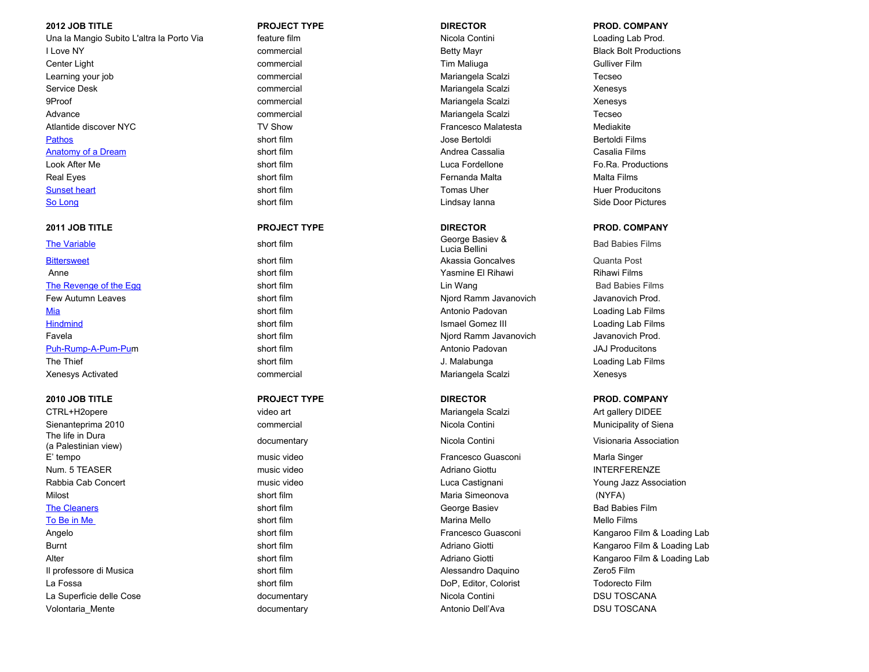## **2012 JOB TITLE PROJECT TYPE DIRECTOR PROD. COMPANY**

Una la Mangio Subito L'altra la Porto Via **inter film** feature film est est est est est experimental contini loading Lab Prod. I Love NY Commercial Commercial Commercial Betty Mayr Betty Mayr Black Bolt Productions Center Light commercial commercial commercial commercial commercial commercial commercial commercial commercial Learning your job **commercial** Commercial Commercial Mariangela Scalzi Tecseo Service Desk **Commercial Commercial Commercial** Mariangela Scalzi Xenesys 9Proof example and the commercial commercial commercial commercial Mariangela Scalzi Xenesys Advance **commercial** Commercial Commercial Mariangela Scalzi Tecseo Atlantide discover NYC **TV Show** TV Show Francesco Malatesta Mediakite [Pathos](https://www.imdb.com/title/tt2883158/reference) short film short film and the short film of the short films of the short films of the short films of the short films of the short films of the short films of the short films of the short films of the short films of [Anatomy of a Dream](https://www.imdb.com/title/tt3148546/reference) Short film Short film Short film Andrea Cassalia Cassalia Cassalia Casalia Casalia Casalia Films Look After Me short film Luca Fordellone Fo.Ra. Productions Real Eyes short film Fernanda Malta Malta Films [Sunset heart](https://www.imdb.com/title/tt4373904/reference) show the short film the short film short film short film short film short film short film short film short film short film short film short film short film short film short film short film short film short fil [So Long](https://www.imdb.com/title/tt2406570/reference) Solution Controller State Door Pictures Solution Side Door Pictures Short film Side Door Pictures Side Door Pictures

[The Variable](https://www.imdb.com/title/tt2231641/reference) short film School and The Variable School and School and School and School and School and School and School and School and School and School and School and School and School and School and School and School an [Bittersweet](https://www.imdb.com/title/tt2279626/reference) **Subset of the Strutus Section Section** Short film Short film Short film Akassia Goncalves Quanta Post Anne short film short film short film Short films are short films when the Short films and the Yasmine El Rihawi Rihawi Films [The Revenge of the Egg](https://www.imdb.com/title/tt2041516/reference) show that the Short film short film short film short film short film short films and Babies Films short film short film short films and Babies Films short film short film short film short films short Few Autumn Leaves **Short film Short film** Niord Ramm Javanovich Javanovich Prod. [Mia](https://www.imdb.com/title/tt2028521/reference) short film the short film the short film Antonio Padovan and Loading Lab Films (Minimum Loading Lab Films [Hindmind](https://www.imdb.com/title/tt2041370/reference) **Short film** Short film Short film Short Films and The Short Films Short Films Short film Short Films Short Films Short Films Short Films Short Films Short Films Short Films Short Films Short Films Short Films Sho Favela short film Njord Ramm Javanovich Javanovich Prod. [Puh-Rump-A-Pum-Pum](https://www.imdb.com/title/tt2028534/reference) short film short film Antonio Padovan Antonio Padovan JAJ Producitons The Thief Short film Short film Short film J. Malabunga Loading Lab Films Xenesys Activated **Commercial Commercial Commercial** Mariangela Scalzi Xenesys

Sienanteprima 2010 **commercial** commercial commercial Nicola Contini Nicola Contini Municipality of Siena The life in Dura nic life life to the Unit of the Unit of the Unit of the Unit of the Unit of the Unit Official Contini (a Palestinian view) visionaria Association<br>(a Palestinian view) E' tempo music video Francesco Guasconi Marla Singer Num. 5 TEASER music video Adriano Giottu INTERFERENZE Rabbia Cab Concert **Music video** Music video Luca Castignani Luca Castignani Young Jazz Association Milost short film short film Maria Simeonova (NYFA) [The Cleaners](https://www.imdb.com/title/tt1815971/reference) **Short film Short film** Short film Short film George Basiev Bad Babies Film [To Be in Me](https://www.imdb.com/title/tt1792825/reference) short film short film short film short film short film short films are short films and married Mello Films and Mello Films Il professore di Musica **short film** Short film Short film Alessandro Daquino Zero5 Film 2 Zero5 Film La Fossa short film DoP, Editor, Colorist Todorecto Film La Superficie delle Cose and the Cost documentary documentary Nicola Contini DSU TOSCANA Volontaria\_Mente **Mente documentary documentary documentary** Antonio Dell'Ava **DSU TOSCANA** 

CTRL+H2opere video art Mariangela Scalzi Art gallery DIDEE

George Basiev & Call Control Bad Babies Films<br>Lucia Bellini

## **2011 JOB TITLE PROJECT TYPE DIRECTOR PROD. COMPANY**

## **2010 JOB TITLE PROJECT TYPE DIRECTOR PROD. COMPANY**

Angelo **Short film Short film** Short film **Francesco Guasconi** Kangaroo Film & Loading Lab Burnt School School School School School School School School School Adriano Giotti Kangaroo Film & Loading Lab Alter Short film Short film Short film Adriano Giotti Kangaroo Film & Loading Lab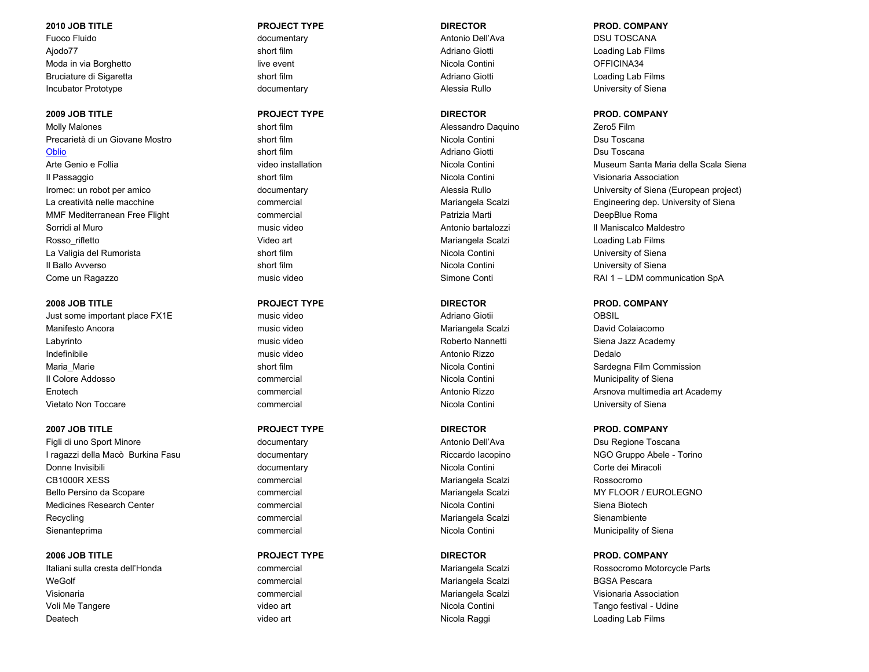Fuoco Fluido **Antonio Conferentary Conferentary** documentary and antonio Dell'Ava **Antonio Dell'Ava** DSU TOSCANA Ajodo77 short film Adriano Giotti Loading Lab Films Moda in via Borghetto **Music executed a Continuity Continuity** Continuity of the UNICOLA Contini OFFICINA34 Bruciature di Sigaretta **short film** short film short film Adriano Giotti Coading Lab Films Loading Lab Films Incubator Prototype **documentary** documentary and the Alessia Rullo Christena Diniversity of Siena

Molly Malones **Short film Short film** Short film Alessandro Daquino Zero5 Film Precarietà di un Giovane Mostro e controllation short film controllation di un precarietà di un Giovane Mostro controllation di short film nella contini di un Dsu Toscana [Oblio](https://www.imdb.com/title/tt1358866/reference) short film short film Adriano Giotti Dsu Toscana Del Toscana Short film Short film Adriano Giotti Del Toscana Il Passaggio short film Nicola Contini Visionaria Association MMF Mediterranean Free Flight **Commercial** Commercial Commercial Patrizia Marti Patrizia Marti DeepBlue Roma Sorridi al Muro **music video** music video **Antonio bartalozzi** Antonio bartalozzi **Il Maniscalco Maldestro** Rosso rifletto **Mariangela Scalzi Loading Lab Films** Video art Video art Mariangela Scalzi Loading Lab Films La Valigia del Rumorista **Short film Short film** Nicola Contini Nicola Contini Nicola Contini University of Siena Il Ballo Avverso **Short film** Short film Short film Nicola Contini Nicola Contini University of Siena Come un Ragazzo Santi Come un Ragazzo Simone Conti Come un Regale anno 2012 a Come un RAI 1 – LDM communication SpA

Just some important place FX1E and the music video and the control of Adriano Giotii COBSIL Manifesto Ancora music video Mariangela Scalzi David Colaiacomo Labyrinto **Community Communist Communist Video** Mannetti Roberto Nannetti Siena Jazz Academy Indefinibile music video Antonio Rizzo Dedalo Maria Marie **Short film Short film Nicola Contini** Nicola Contini Sardegna Film Commission Il Colore Addosso **commercial** commercial commercial commercial contini Nicola Contini Municipality of Siena Vietato Non Toccare **Commercial** Commercial Commercial Nicola Contini Contini University of Siena

Figli di uno Sport Minore **Antonio Dell'Ava** Dsu Regione Toscana documentary Antonio Dell'Ava **Di Dividio Dell'Ava** I ragazzi della Macò Burkina Fasu **di Riccardo International Controllato Controlle** - Torino NGO Gruppo Abele - Torino Donne Invisibili documentary documentary Nicola Contini Nicola Contini Corte dei Miracoli CB1000R XESS commercial Mariangela Scalzi Rossocromo Bello Persino da Scopare **commercial** commercial commercial Mariangela Scalzi MY FLOOR / EUROLEGNO Medicines Research Center **Commercial** Commercial Commercial Nicola Contini Nicola Contini Siena Biotech Recycling **Commercial** Commercial Commercial Commercial Mariangela Scalzi Sienambiente Sienanteprima **commercial** Commercial Commercial Commercial Contini Nicola Contini Municipality of Siena

WeGolf **Commercial** Commercial Commercial Mariangela Scalzi BGSA Pescara Visionaria commercial Mariangela Scalzi Visionaria Association Voli Me Tangere **video art** Voleo art Nicola Contini Nicola Contini Tango festival - Udine Deatech **Contract Contract Contract Contract Contract Contract Contract Contract Contract Contract Contract Contract Contract Contract Contract Contract Contract Contract Contract Contract Contract Contract Contract Contra** 

## **2010 JOB TITLE PROJECT TYPE DIRECTOR PROD. COMPANY**

## **2009 JOB TITLE PROJECT TYPE DIRECTOR PROD. COMPANY**

Arte Genio e Follia video installation Nicola Contini Museum Santa Maria della Scala Siena Iromec: un robot per amico different project) documentary documentary and the Senate Alessia Rullo Company Diviversity of Siena (European project) La creatività nelle macchine commercial commercial commercial Mariangela Scalzi Engineering dep. University of Siena

## **2008 JOB TITLE PROJECT TYPE DIRECTOR PROD. COMPANY**

Enotech commercial Antonio Rizzo Arsnova multimedia art Academy

## **2007 JOB TITLE PROJECT TYPE DIRECTOR PROD. COMPANY**

## **2006 JOB TITLE PROJECT TYPE DIRECTOR PROD. COMPANY**

Italiani sulla cresta dell'Honda **commercial** commercial commercial Mariangela Scalzi Rossocromo Motorcycle Parts